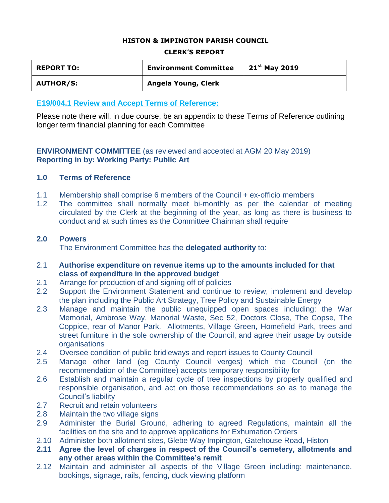### **HISTON & IMPINGTON PARISH COUNCIL**

#### **CLERK'S REPORT**

| <b>REPORT TO:</b> | <b>Environment Committee</b> | $21^{st}$ May 2019 |
|-------------------|------------------------------|--------------------|
| <b>AUTHOR/S:</b>  | Angela Young, Clerk          |                    |

### **E19/004.1 Review and Accept Terms of Reference:**

Please note there will, in due course, be an appendix to these Terms of Reference outlining longer term financial planning for each Committee

### **ENVIRONMENT COMMITTEE** (as reviewed and accepted at AGM 20 May 2019) **Reporting in by: Working Party: Public Art**

### **1.0 Terms of Reference**

- 1.1 Membership shall comprise 6 members of the Council + ex-officio members
- 1.2 The committee shall normally meet bi-monthly as per the calendar of meeting circulated by the Clerk at the beginning of the year, as long as there is business to conduct and at such times as the Committee Chairman shall require

### **2.0 Powers**

The Environment Committee has the **delegated authority** to:

- 2.1 **Authorise expenditure on revenue items up to the amounts included for that class of expenditure in the approved budget**
- 2.1 Arrange for production of and signing off of policies
- 2.2 Support the Environment Statement and continue to review, implement and develop the plan including the Public Art Strategy, Tree Policy and Sustainable Energy
- 2.3 Manage and maintain the public unequipped open spaces including: the War Memorial, Ambrose Way, Manorial Waste, Sec 52, Doctors Close, The Copse, The Coppice, rear of Manor Park, Allotments, Village Green, Homefield Park, trees and street furniture in the sole ownership of the Council, and agree their usage by outside **organisations**
- 2.4 Oversee condition of public bridleways and report issues to County Council
- 2.5 Manage other land (eg County Council verges) which the Council (on the recommendation of the Committee) accepts temporary responsibility for
- 2.6 Establish and maintain a regular cycle of tree inspections by properly qualified and responsible organisation, and act on those recommendations so as to manage the Council's liability
- 2.7 Recruit and retain volunteers
- 2.8 Maintain the two village signs
- 2.9 Administer the Burial Ground, adhering to agreed Regulations, maintain all the facilities on the site and to approve applications for Exhumation Orders
- 2.10 Administer both allotment sites, Glebe Way Impington, Gatehouse Road, Histon
- **2.11 Agree the level of charges in respect of the Council's cemetery, allotments and any other areas within the Committee's remit**
- 2.12 Maintain and administer all aspects of the Village Green including: maintenance, bookings, signage, rails, fencing, duck viewing platform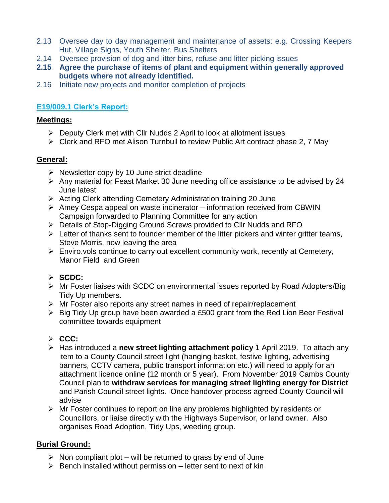- 2.13 Oversee day to day management and maintenance of assets: e.g. Crossing Keepers Hut, Village Signs, Youth Shelter, Bus Shelters
- 2.14 Oversee provision of dog and litter bins, refuse and litter picking issues
- **2.15 Agree the purchase of items of plant and equipment within generally approved budgets where not already identified.**
- 2.16 Initiate new projects and monitor completion of projects

## **E19/009.1 Clerk's Report:**

## **Meetings:**

- $\triangleright$  Deputy Clerk met with Cllr Nudds 2 April to look at allotment issues
- Clerk and RFO met Alison Turnbull to review Public Art contract phase 2, 7 May

## **General:**

- $\triangleright$  Newsletter copy by 10 June strict deadline
- $\triangleright$  Any material for Feast Market 30 June needing office assistance to be advised by 24 June latest
- $\triangleright$  Acting Clerk attending Cemetery Administration training 20 June
- $\triangleright$  Amey Cespa appeal on waste incinerator information received from CBWIN Campaign forwarded to Planning Committee for any action
- ▶ Details of Stop-Digging Ground Screws provided to Cllr Nudds and RFO
- $\triangleright$  Letter of thanks sent to founder member of the litter pickers and winter gritter teams, Steve Morris, now leaving the area
- $\triangleright$  Enviro.vols continue to carry out excellent community work, recently at Cemetery, Manor Field and Green

## **SCDC:**

- Mr Foster liaises with SCDC on environmental issues reported by Road Adopters/Big Tidy Up members.
- $\triangleright$  Mr Foster also reports any street names in need of repair/replacement
- $\triangleright$  Big Tidy Up group have been awarded a £500 grant from the Red Lion Beer Festival committee towards equipment

# **CCC:**

- Has introduced a **new street lighting attachment policy** 1 April 2019. To attach any item to a County Council street light (hanging basket, festive lighting, advertising banners, CCTV camera, public transport information etc.) will need to apply for an attachment licence online (12 month or 5 year). From November 2019 Cambs County Council plan to **withdraw services for managing street lighting energy for District** and Parish Council street lights. Once handover process agreed County Council will advise
- Mr Foster continues to report on line any problems highlighted by residents or Councillors, or liaise directly with the Highways Supervisor, or land owner. Also organises Road Adoption, Tidy Ups, weeding group.

## **Burial Ground:**

- $\triangleright$  Non compliant plot will be returned to grass by end of June
- $\triangleright$  Bench installed without permission letter sent to next of kin